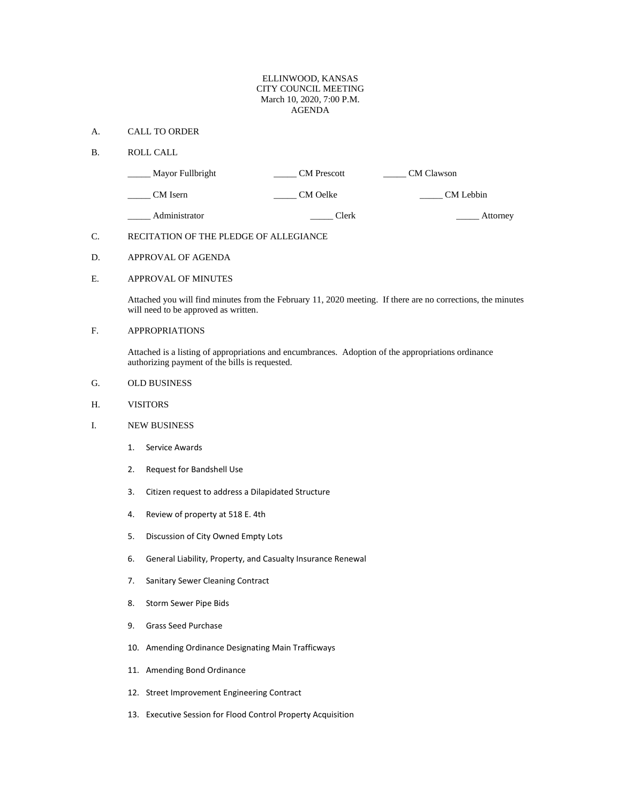## ELLINWOOD, KANSAS CITY COUNCIL MEETING March 10, 2020, 7:00 P.M. AGENDA

### A. CALL TO ORDER

#### B. ROLL CALL

| Mayor Fullbright | <b>CM</b> Prescott | CM Clawson |
|------------------|--------------------|------------|
| CM Isern         | CM Oelke           | CM Lebbin  |
| Administrator    | Clerk              | Attorney   |

## C. RECITATION OF THE PLEDGE OF ALLEGIANCE

## D. APPROVAL OF AGENDA

## E. APPROVAL OF MINUTES

Attached you will find minutes from the February 11, 2020 meeting. If there are no corrections, the minutes will need to be approved as written.

# F. APPROPRIATIONS

Attached is a listing of appropriations and encumbrances. Adoption of the appropriations ordinance authorizing payment of the bills is requested.

### G. OLD BUSINESS

### H. VISITORS

### I. NEW BUSINESS

- 1. Service Awards
- 2. Request for Bandshell Use
- 3. Citizen request to address a Dilapidated Structure
- 4. Review of property at 518 E. 4th
- 5. Discussion of City Owned Empty Lots
- 6. General Liability, Property, and Casualty Insurance Renewal
- 7. Sanitary Sewer Cleaning Contract
- 8. Storm Sewer Pipe Bids
- 9. Grass Seed Purchase
- 10. Amending Ordinance Designating Main Trafficways
- 11. Amending Bond Ordinance
- 12. Street Improvement Engineering Contract
- 13. Executive Session for Flood Control Property Acquisition